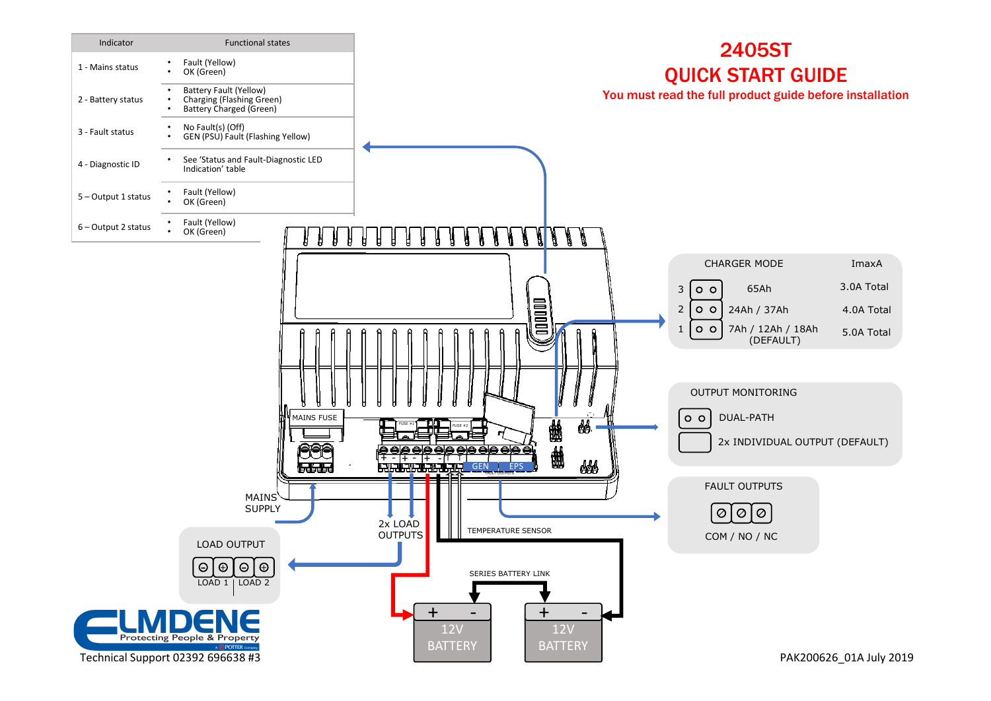